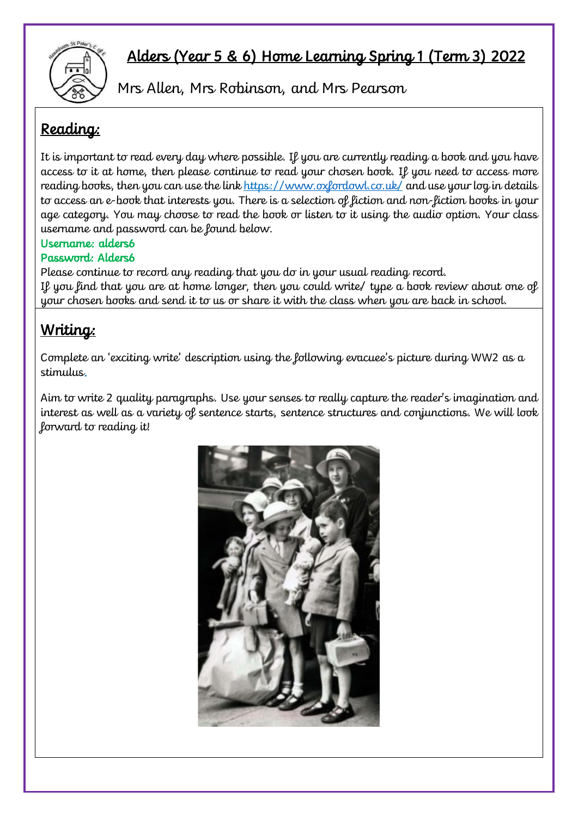

## Alders (Year 5 & 6) Home Learning Spring 1 (Term 3) 2022

Mrs Allen, Mrs Robinson, and Mrs Pearson

## Reading:

It is important to read every day where possible. If you are currently reading a book and you have access to it at home, then please continue to read your chosen book. If you need to access more reading books, then you can use the link https:/[/www.oxfordowl.co.uk/](http://www.oxfordowl.co.uk/) and use your log in details to access an e-book that interests you. There is a selection of fiction and non-fiction books in your age category. You may choose to read the book or listen to it using the audio option. Your class username and password can be found below.

#### Username: alders6

#### Password: Alders6

Please continue to record any reading that you do in your usual reading record. If you find that you are at home longer, then you could write/ type a book review about one of your chosen books and send it to us or share it with the class when you are back in school.

### Writing:

Complete an 'exciting write' description using the following evacuee's picture during WW2 as a stimulus.

Aim to write 2 quality paragraphs. Use your senses to really capture the reader's imagination and interest as well as a variety of sentence starts, sentence structures and conjunctions. We will look forward to reading it!

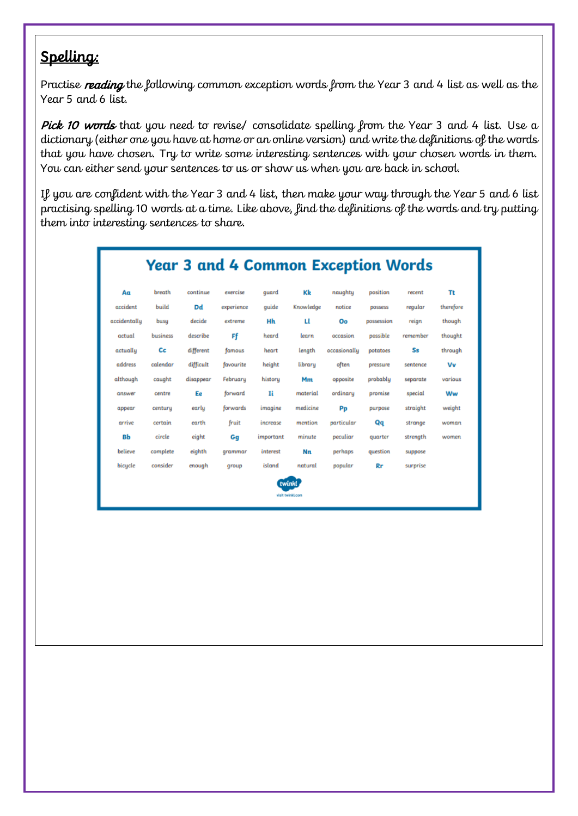#### Spelling:

Practise reading the following common exception words from the Year 3 and 4 list as well as the Year 5 and 6 list.

Pick 10 words that you need to revise/ consolidate spelling from the Year 3 and 4 list. Use a dictionary (either one you have at home or an online version) and write the definitions of the words that you have chosen. Try to write some interesting sentences with your chosen words in them. You can either send your sentences to us or show us when you are back in school.

If you are confident with the Year 3 and 4 list, then make your way through the Year 5 and 6 list practising spelling 10 words at a time. Like above, find the definitions of the words and try putting them into interesting sentences to share.

| <b>Year 3 and 4 Common Exception Words</b> |          |           |            |           |           |              |            |          |           |
|--------------------------------------------|----------|-----------|------------|-----------|-----------|--------------|------------|----------|-----------|
| Aα                                         | breath   | continue  | exercise   | quard     | Kk        | naughty      | position   | recent   | Tt        |
| accident                                   | build    | <b>Dd</b> | experience | quide     | Knowledge | notice       | possess    | regular  | therefore |
| accidentally                               | busu     | decide    | extreme    | Hh        | п         | Oo           | possession | reign    | though    |
| actual                                     | business | describe  | Ff         | heard     | learn     | occasion     | possible   | remember | thought   |
| actually                                   | Сc       | different | famous     | heart     | length    | occasionally | potatoes   | Ss       | through   |
| address                                    | calendar | difficult | favourite  | height    | library   | often        | pressure   | sentence | Vv        |
| although                                   | caught   | disappear | February   | history   | Mm        | opposite     | probably   | separate | various   |
| answer                                     | centre   | Ee        | forward    | Ii        | material  | ordinary     | promise    | special  | Ww        |
| appear                                     | centuru  | early     | forwards   | imagine   | medicine  | Pp           | purpose    | straight | weight    |
| arrive                                     | certain  | earth     | fruit      | increase  | mention   | particular   | Qq         | strange  | woman     |
| Bb                                         | circle   | eight     | Gq         | important | minute    | peculiar     | quarter    | strength | women     |
| believe                                    | complete | eighth    | grammar    | interest  | <b>Nn</b> | perhaps      | question   | suppose  |           |
| bicycle                                    | consider | enough    | qroup      | island    | natural   | popular      | <b>Rr</b>  | surprise |           |
|                                            |          |           |            |           |           |              |            |          |           |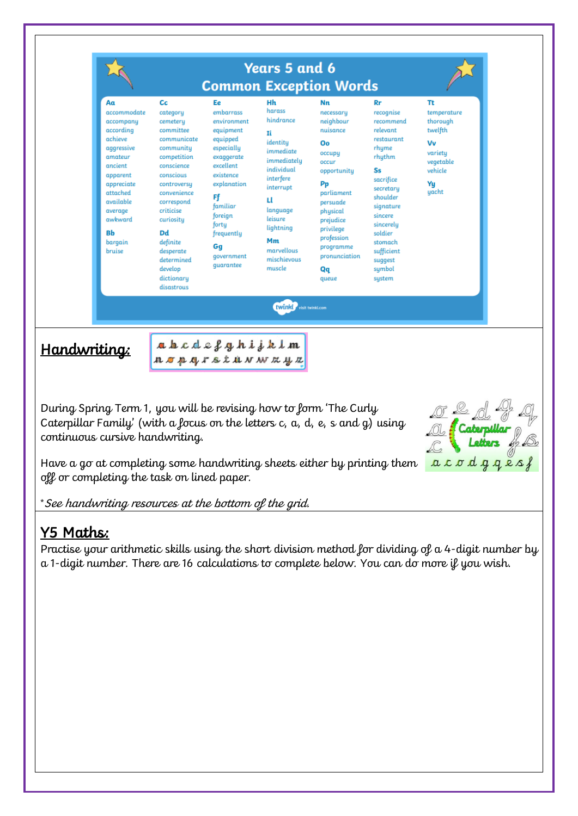

#### Y5 Maths:

Practise your arithmetic skills using the short division method for dividing of a 4-digit number by a 1-digit number. There are 16 calculations to complete below. You can do more if you wish.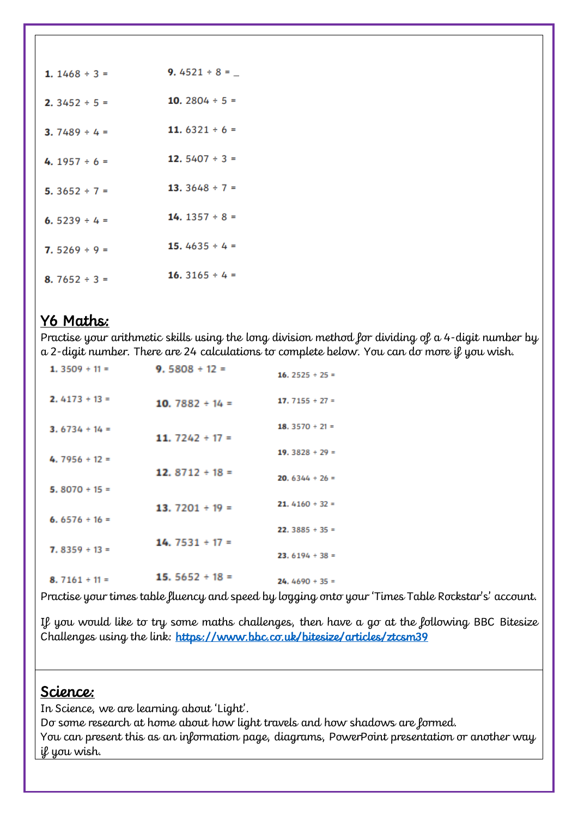| 1. $1468 \div 3 =$ | 9.4521 ÷ 8 = $-$    |
|--------------------|---------------------|
| 2. $3452 \div 5 =$ | 10. 2804 $\div$ 5 = |
| 3.7489 ÷ 4 =       | 11. $6321 \div 6 =$ |
| 4.1957 ÷ 6 =       | 12. $5407 \div 3 =$ |
| 5. $3652 \div 7 =$ | 13. $3648 \div 7 =$ |
| 6.5239 ÷ 4 =       | 14. $1357 \div 8 =$ |
| 7.5269 ÷ 9 =       | 15.4635 ÷ 4 =       |
| 8. 7652 $\div$ 3 = | 16. $3165 \div 4 =$ |

#### Y6 Maths:

Practise your arithmetic skills using the long division method for dividing of a 4-digit number by a 2-digit number. There are 24 calculations to complete below. You can do more if you wish.

| 1.3509 $\div$ 11 = | 9.5808 $\div$ 12 =   | 16. $2525 \div 25 =$        |
|--------------------|----------------------|-----------------------------|
| $2.4173 \div 13 =$ | 10. $7882 \div 14 =$ | 17. $7155 \div 27 =$        |
| $3.6734 \div 14 =$ | 11. $7242 \div 17 =$ | 18. $3570 \div 21 =$        |
| $4.7956 \div 12 =$ |                      | 19. $3828 \div 29 =$        |
|                    | 12. $8712 \div 18 =$ | <b>20.</b> $6344 \div 26 =$ |
| $5.8070 \div 15 =$ | 13. $7201 \div 19 =$ | <b>21.</b> 4160 $\div$ 32 = |
| 6.6576 $\div$ 16 = |                      | <b>22.</b> 3885 $\div$ 35 = |
| $7.8359 \div 13 =$ | $14.7531 \div 17 =$  | <b>23.</b> $6194 \div 38 =$ |
| $8.7161 \div 11 =$ | 15. $5652 \div 18 =$ | $24.4690 \div 35 =$         |
|                    |                      |                             |

Practise your times table fluency and speed by logging onto your 'Times Table Rockstar's' account.

If you would like to try some maths challenges, then have a go at the following BBC Bitesize Challenges using the link: https://www.bbc.co.uk/bitesize/articles/ztcsm39

#### Science:

In Science, we are learning about 'Light'.

Do some research at home about how light travels and how shadows are formed. You can present this as an information page, diagrams, PowerPoint presentation or another way if you wish.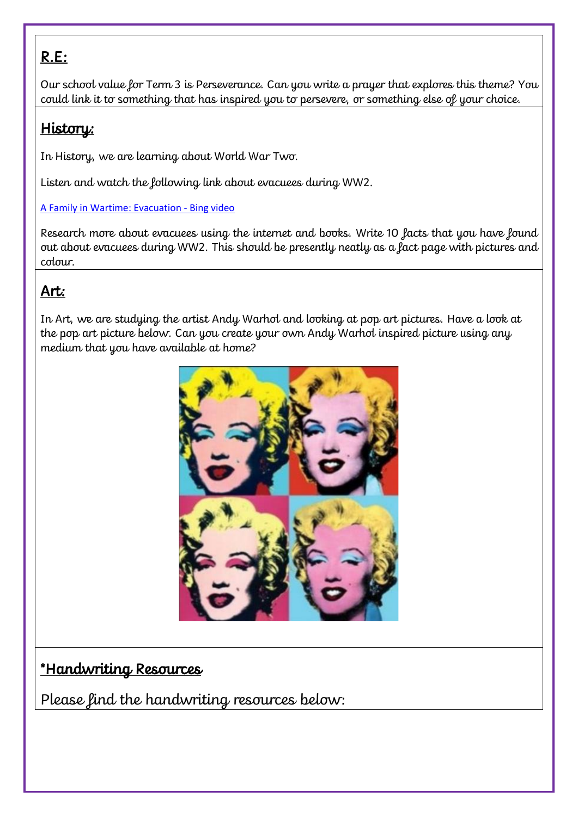## R.E:

Our school value for Term 3 is Perseverance. Can you write a prayer that explores this theme? You could link it to something that has inspired you to persevere, or something else of your choice.

#### History:

In History, we are learning about World War Two.

Listen and watch the following link about evacuees during WW2.

#### [A Family in Wartime: Evacuation -](https://www.bing.com/videos/search?q=evacuee+picture&&view=detail&mid=51D0E5A6822D9B9F5FF951D0E5A6822D9B9F5FF9&&FORM=VRDGAR&ru=%2Fvideos%2Fsearch%3Fq%3Devacuee%2Bpicture%26FORM%3DHDRSC3) Bing video

Research more about evacuees using the internet and books. Write 10 facts that you have found out about evacuees during WW2. This should be presently neatly as a fact page with pictures and colour.

### Art:

In Art, we are studying the artist Andy Warhol and looking at pop art pictures. Have a look at the pop art picture below. Can you create your own Andy Warhol inspired picture using any medium that you have available at home?



#### \*Handwriting Resources

Please find the handwriting resources below: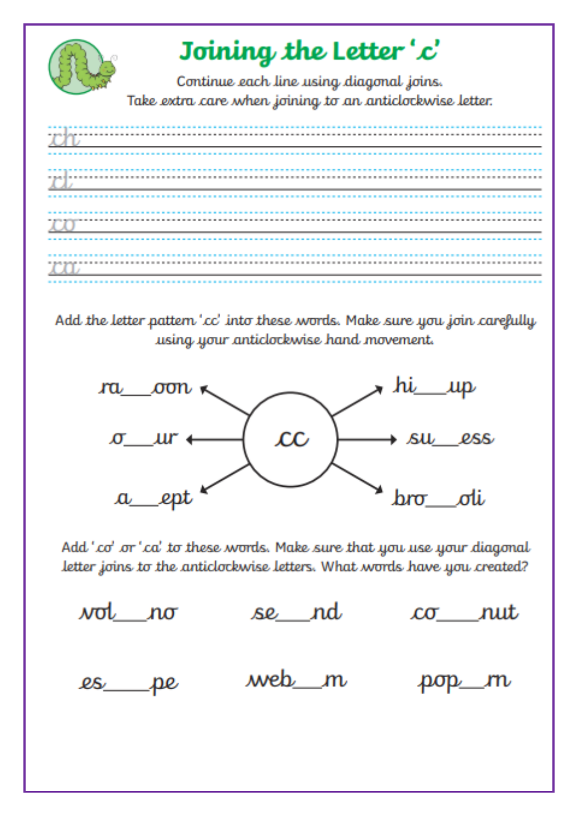

Add the letter pattern 'cc' into these words. Make sure you join carefully using your anticlockwise hand movement.



Add 'co' or 'ca' to these words. Make sure that you use your diagonal letter joins to the anticlockwise letters. What words have you created?

se nd vot no <u>co</u> rut web m  $\ell s$ pop m pe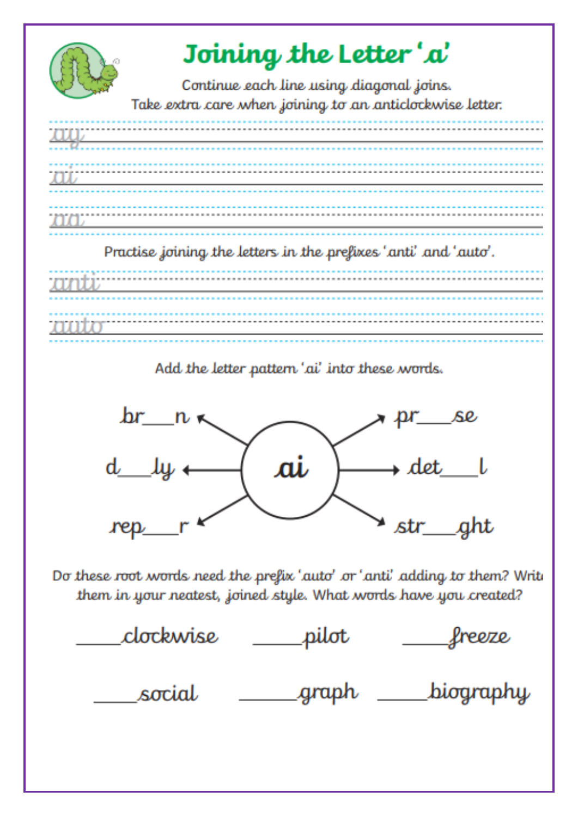

## Joining the Letter'a'

Continue each line using diagonal joins. Take extra care when joining to an anticlockwise letter.



Practise joining the letters in the prefixes 'anti' and 'auto'.

Add the letter pattern 'ai' into these words.



Do these root words need the prefix 'auto' or 'anti' adding to them? Write them in your neatest, joined style. What words have you created?

clockwise pilot freeze \_\_\_\_\_graph \_\_\_\_\_\_\_biography social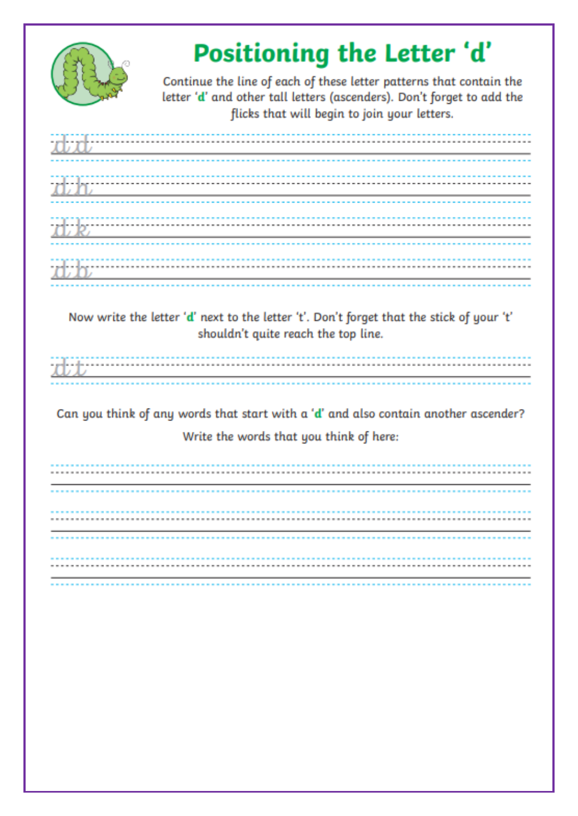

# Positioning the Letter 'd'

Continue the line of each of these letter patterns that contain the letter 'd' and other tall letters (ascenders). Don't forget to add the flicks that will begin to join your letters.

| <u> 1989 - Johann Stoff, deutscher Stoff, der Stoff, der Stoff, der Stoff, der Stoff, der Stoff, der Stoff, der S</u> |                                                                                                                       |  |  |
|-----------------------------------------------------------------------------------------------------------------------|-----------------------------------------------------------------------------------------------------------------------|--|--|
|                                                                                                                       | <u> 1989 - Jan Samuel Barbara, martin da shekara ta 1980 - An tsara tsara tsara tsara tsara tsara tsara tsara tsa</u> |  |  |
| <u> 1989 - Johann Harry Barn, mars ar breist fan de Amerikaansk kommunent fan de Amerikaanske kommunent fan de A</u>  |                                                                                                                       |  |  |

Now write the letter 'd' next to the letter 't'. Don't forget that the stick of your 't' shouldn't quite reach the top line.

Can you think of any words that start with a 'd' and also contain another ascender? Write the words that you think of here: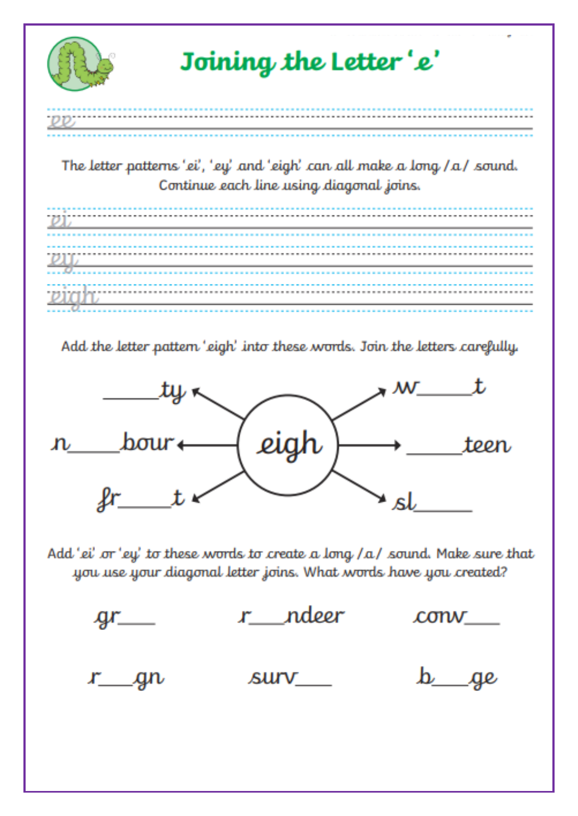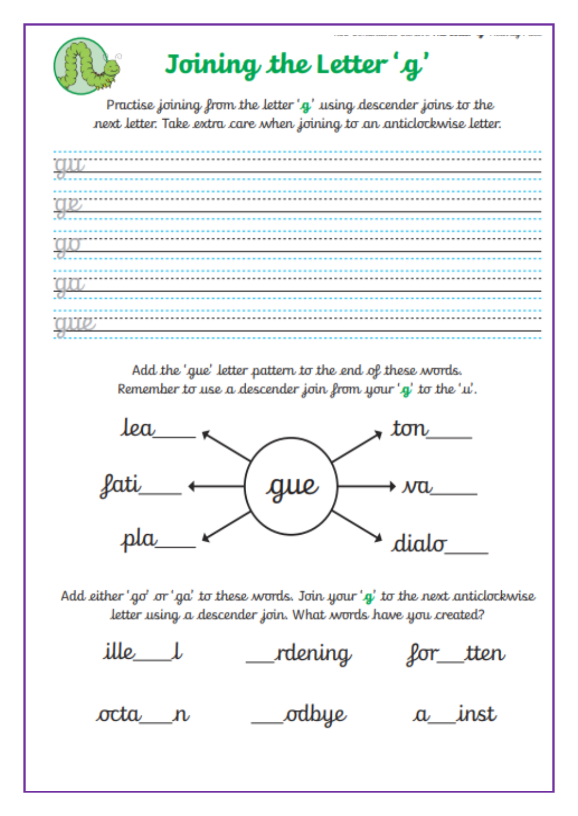

Practise joining from the letter 'g' using descender joins to the next letter. Take extra care when joining to an anticlockwise letter.

| $\mu$ and $\mu$ and $\mu$ and $\mu$ and $\mu$ and $\mu$ and $\mu$ and $\mu$ and $\mu$ and $\mu$ and $\mu$ and $\mu$   |  |  |
|-----------------------------------------------------------------------------------------------------------------------|--|--|
| <u> 1980 - Andrea Barbara, amerikana amerikana amerikana amerikana amerikana amerikana amerikana amerikana amerik</u> |  |  |
|                                                                                                                       |  |  |
|                                                                                                                       |  |  |

Add the 'gue' letter pattern to the end of these words. Remember to use a descender join from your 'g' to the 'u'.



Add either 'go' or 'ga' to these words. Join your 'g' to the next anticlockwise letter using a descender join. What words have you created?

ille l rdening for tten \_odbye a inst octa n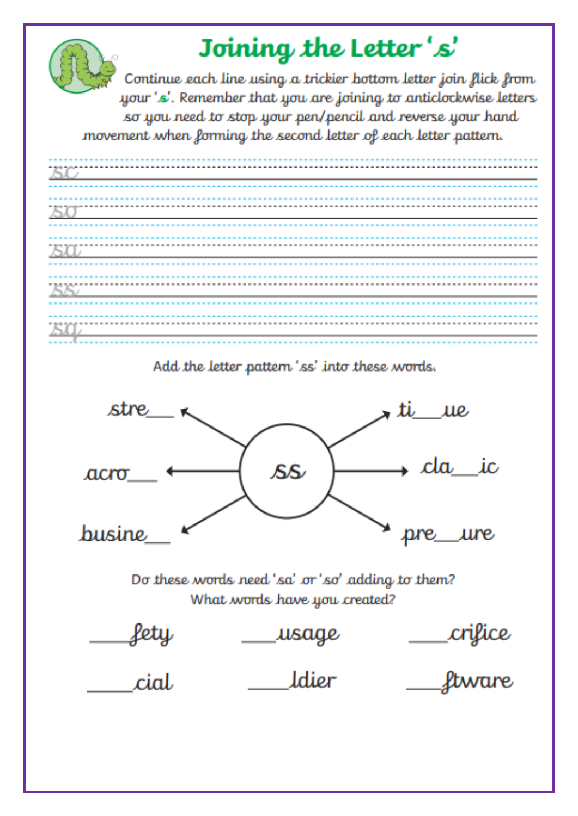

## Joining the Letter's'

Continue each line using a trickier bottom letter join flick from your 's'. Remember that you are joining to anticlockwise letters so you need to stop your pen/pencil and reverse your hand movement when forming the second letter of each letter pattern.



Add the letter pattern 'ss' into these words.